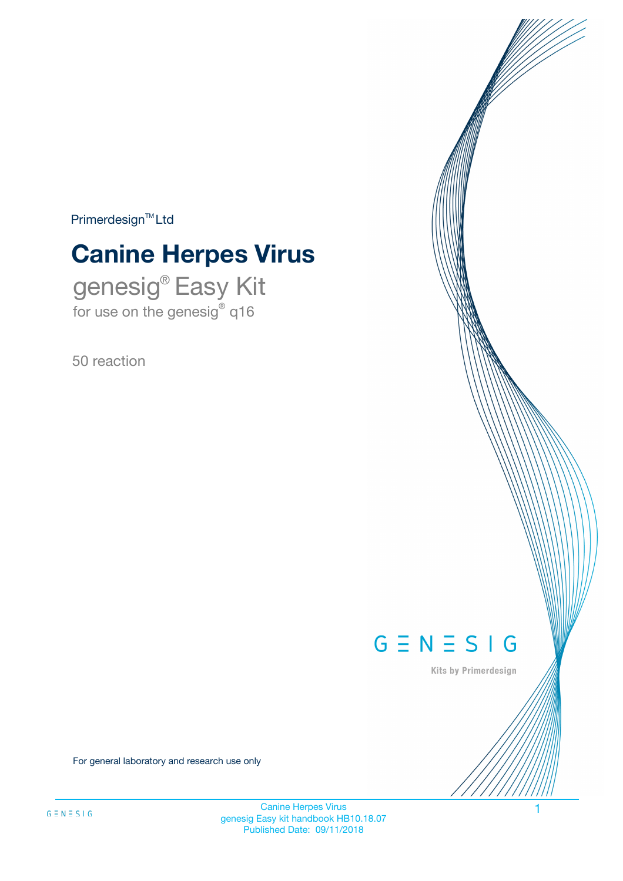$Primerdesign^{\text{TM}}Ltd$ 

# **Canine Herpes Virus**

genesig® Easy Kit for use on the genesig® q16

50 reaction



Kits by Primerdesign

For general laboratory and research use only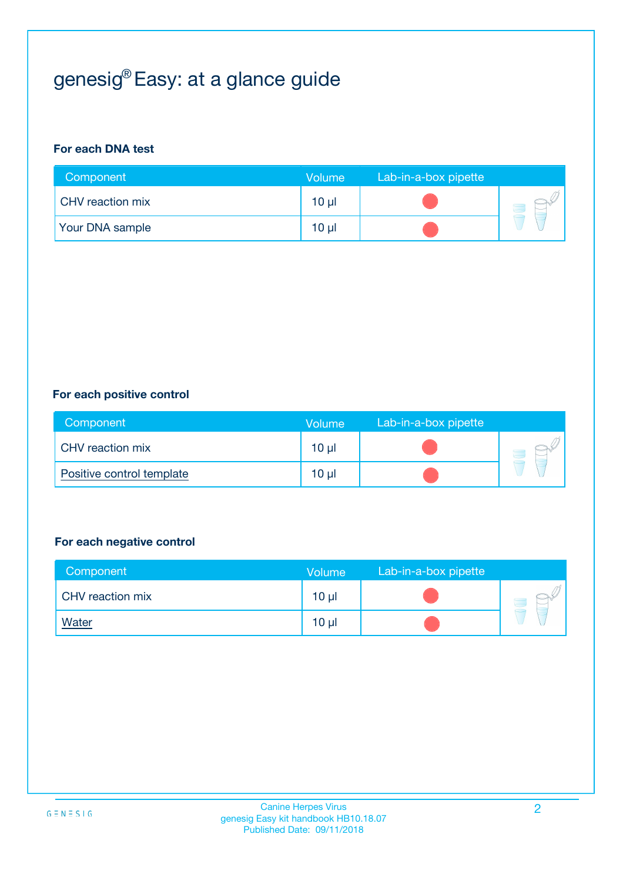## genesig® Easy: at a glance guide

#### **For each DNA test**

| Component               | <b>Volume</b> | Lab-in-a-box pipette |  |
|-------------------------|---------------|----------------------|--|
| <b>CHV</b> reaction mix | $10 \mu$      |                      |  |
| <b>Your DNA sample</b>  | $10 \mu$      |                      |  |

#### **For each positive control**

| Component                 | <b>Volume</b>   | Lab-in-a-box pipette |  |
|---------------------------|-----------------|----------------------|--|
| CHV reaction mix          | 10 <sub>µ</sub> |                      |  |
| Positive control template | $10 \mu$        |                      |  |

#### **For each negative control**

| Component        | <b>Volume</b>   | Lab-in-a-box pipette |  |
|------------------|-----------------|----------------------|--|
| CHV reaction mix | 10 <sub>µ</sub> |                      |  |
| <u>Water</u>     | 10 <sub>µ</sub> |                      |  |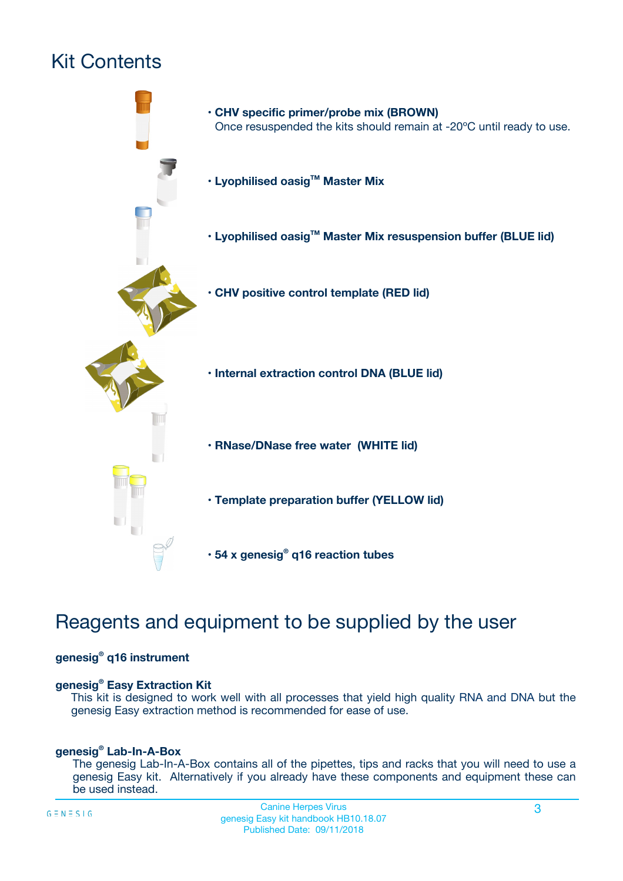## Kit Contents



## Reagents and equipment to be supplied by the user

#### **genesig® q16 instrument**

#### **genesig® Easy Extraction Kit**

This kit is designed to work well with all processes that yield high quality RNA and DNA but the genesig Easy extraction method is recommended for ease of use.

#### **genesig® Lab-In-A-Box**

The genesig Lab-In-A-Box contains all of the pipettes, tips and racks that you will need to use a genesig Easy kit. Alternatively if you already have these components and equipment these can be used instead.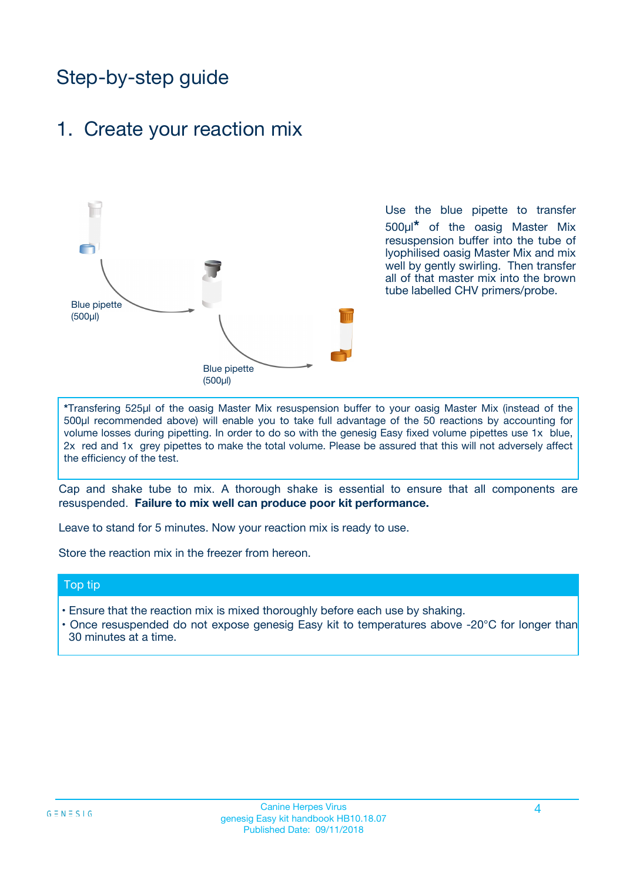## Step-by-step guide

### 1. Create your reaction mix



Use the blue pipette to transfer 500µl**\*** of the oasig Master Mix resuspension buffer into the tube of lyophilised oasig Master Mix and mix well by gently swirling. Then transfer all of that master mix into the brown tube labelled CHV primers/probe.

**\***Transfering 525µl of the oasig Master Mix resuspension buffer to your oasig Master Mix (instead of the 500µl recommended above) will enable you to take full advantage of the 50 reactions by accounting for volume losses during pipetting. In order to do so with the genesig Easy fixed volume pipettes use 1x blue, 2x red and 1x grey pipettes to make the total volume. Please be assured that this will not adversely affect the efficiency of the test.

Cap and shake tube to mix. A thorough shake is essential to ensure that all components are resuspended. **Failure to mix well can produce poor kit performance.**

Leave to stand for 5 minutes. Now your reaction mix is ready to use.

Store the reaction mix in the freezer from hereon.

#### Top tip

- Ensure that the reaction mix is mixed thoroughly before each use by shaking.
- **•** Once resuspended do not expose genesig Easy kit to temperatures above -20°C for longer than 30 minutes at a time.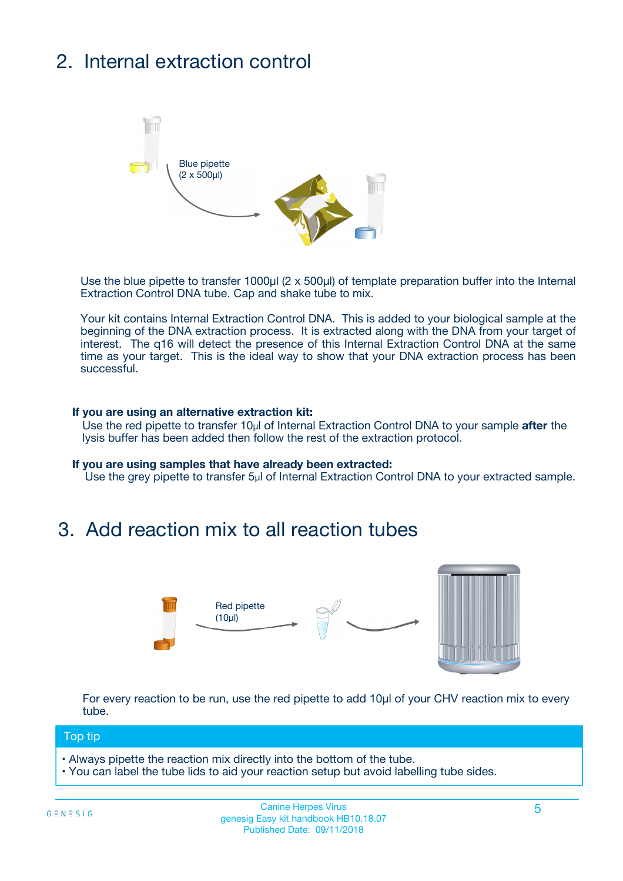## 2. Internal extraction control



Use the blue pipette to transfer 1000µl (2 x 500µl) of template preparation buffer into the Internal Extraction Control DNA tube. Cap and shake tube to mix.

Your kit contains Internal Extraction Control DNA. This is added to your biological sample at the beginning of the DNA extraction process. It is extracted along with the DNA from your target of interest. The q16 will detect the presence of this Internal Extraction Control DNA at the same time as your target. This is the ideal way to show that your DNA extraction process has been **successful.** 

#### **If you are using an alternative extraction kit:**

Use the red pipette to transfer 10µl of Internal Extraction Control DNA to your sample **after** the lysis buffer has been added then follow the rest of the extraction protocol.

#### **If you are using samples that have already been extracted:**

Use the grey pipette to transfer 5µl of Internal Extraction Control DNA to your extracted sample.

### 3. Add reaction mix to all reaction tubes



For every reaction to be run, use the red pipette to add 10µl of your CHV reaction mix to every tube.

#### Top tip

- Always pipette the reaction mix directly into the bottom of the tube.
- You can label the tube lids to aid your reaction setup but avoid labelling tube sides.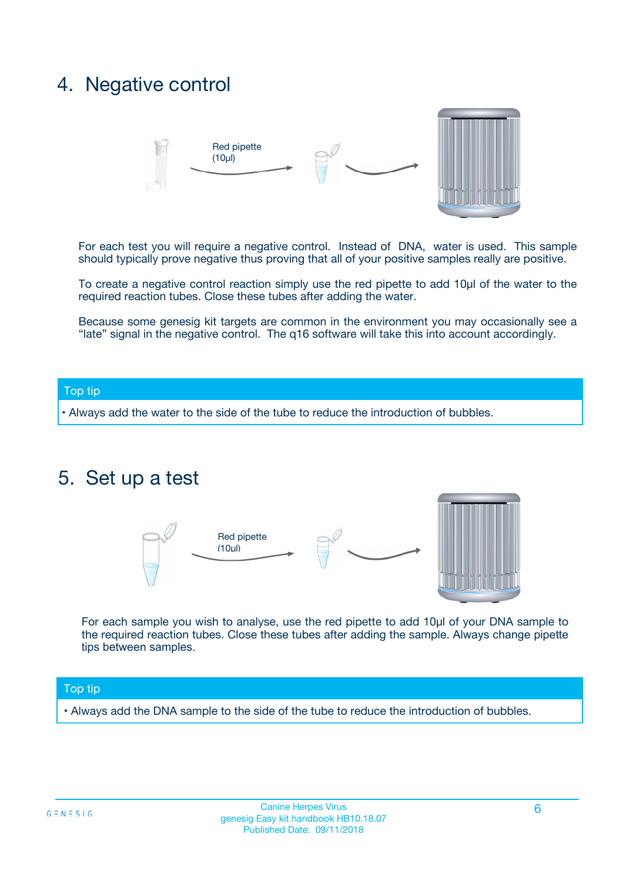### 4. Negative control



For each test you will require a negative control. Instead of DNA, water is used. This sample should typically prove negative thus proving that all of your positive samples really are positive.

To create a negative control reaction simply use the red pipette to add 10µl of the water to the required reaction tubes. Close these tubes after adding the water.

Because some genesig kit targets are common in the environment you may occasionally see a "late" signal in the negative control. The q16 software will take this into account accordingly.

#### Top tip

**•** Always add the water to the side of the tube to reduce the introduction of bubbles.

### 5. Set up a test



For each sample you wish to analyse, use the red pipette to add 10µl of your DNA sample to the required reaction tubes. Close these tubes after adding the sample. Always change pipette tips between samples.

#### Top tip

**•** Always add the DNA sample to the side of the tube to reduce the introduction of bubbles.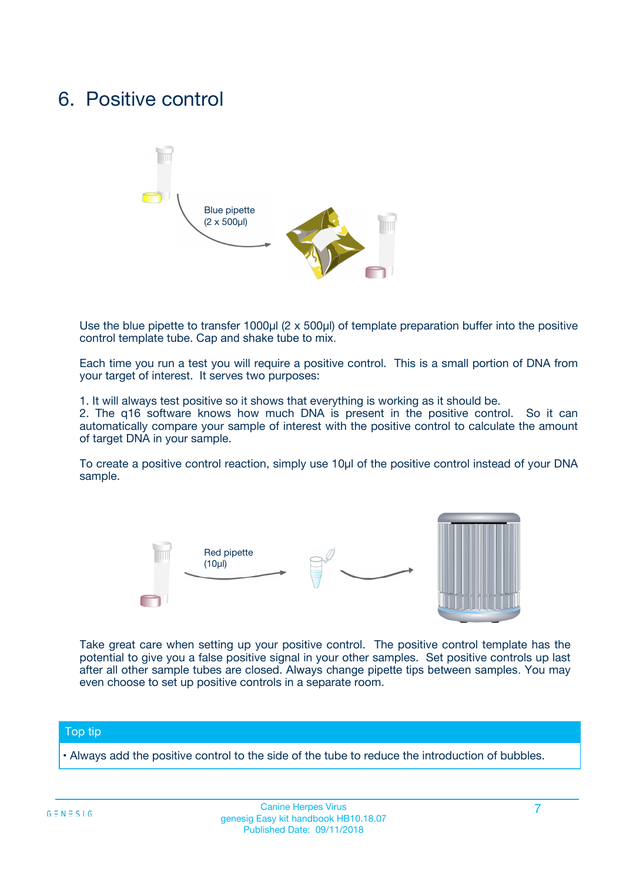### 6. Positive control



Use the blue pipette to transfer 1000µl (2 x 500µl) of template preparation buffer into the positive control template tube. Cap and shake tube to mix.

Each time you run a test you will require a positive control. This is a small portion of DNA from your target of interest. It serves two purposes:

1. It will always test positive so it shows that everything is working as it should be.

2. The q16 software knows how much DNA is present in the positive control. So it can automatically compare your sample of interest with the positive control to calculate the amount of target DNA in your sample.

To create a positive control reaction, simply use 10µl of the positive control instead of your DNA sample.



Take great care when setting up your positive control. The positive control template has the potential to give you a false positive signal in your other samples. Set positive controls up last after all other sample tubes are closed. Always change pipette tips between samples. You may even choose to set up positive controls in a separate room.

#### Top tip

**•** Always add the positive control to the side of the tube to reduce the introduction of bubbles.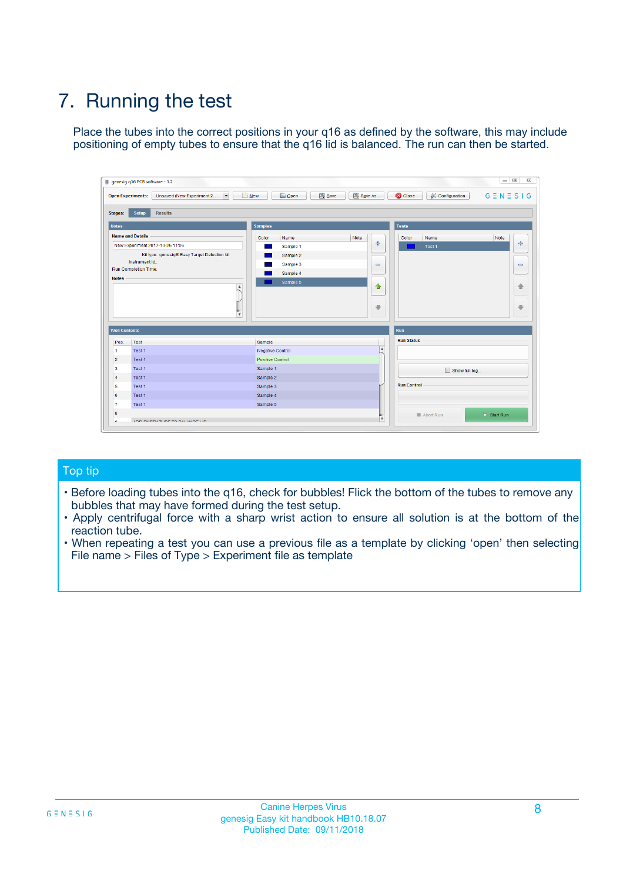## 7. Running the test

Place the tubes into the correct positions in your q16 as defined by the software, this may include positioning of empty tubes to ensure that the q16 lid is balanced. The run can then be started.

| genesig q16 PCR software - 1.2                                               |                                     | $\Box$                                                                                  |
|------------------------------------------------------------------------------|-------------------------------------|-----------------------------------------------------------------------------------------|
| Unsaved (New Experiment 2<br>$\vert \cdot \vert$<br><b>Open Experiments:</b> | <b>D</b> Open<br>Save<br>$\Box$ New | Save As<br><b>C</b> Close<br>$G \equiv N \equiv S \mid G$<br><b>&amp; Configuration</b> |
| Setup<br><b>Results</b><br><b>Stages:</b>                                    |                                     |                                                                                         |
| <b>Notes</b>                                                                 | Samples                             | <b>Tests</b>                                                                            |
| <b>Name and Details</b>                                                      | Color<br>Name                       | Note<br>Color<br>Note<br>Name                                                           |
| New Experiment 2017-10-26 11:06                                              | Sample 1                            | ع<br>علي<br>Test 1                                                                      |
| Kit type: genesig® Easy Target Detection kit                                 | Sample 2                            |                                                                                         |
| Instrument Id.:                                                              | Sample 3                            | $\qquad \qquad \blacksquare$<br>$\qquad \qquad \blacksquare$                            |
| Run Completion Time:                                                         | Sample 4                            |                                                                                         |
| <b>Notes</b>                                                                 | Sample 5<br>A<br>v                  | $\triangle$<br>4<br>$\oplus$<br>₩                                                       |
| <b>Well Contents</b>                                                         |                                     | <b>Run</b>                                                                              |
| Pos.<br>Test                                                                 | Sample                              | <b>Run Status</b>                                                                       |
| Test 1<br>-1                                                                 | <b>Negative Control</b>             | $\blacktriangle$                                                                        |
| $\overline{2}$<br>Test 1                                                     | <b>Positive Control</b>             |                                                                                         |
| $\overline{\mathbf{3}}$<br>Test 1                                            | Sample 1                            | Show full log                                                                           |
| Test 1<br>$\overline{4}$                                                     | Sample 2                            |                                                                                         |
| 5<br>Test 1                                                                  | Sample 3                            | <b>Run Control</b>                                                                      |
| 6<br>Test 1                                                                  | Sample 4                            |                                                                                         |
| $\overline{7}$<br>Test 1                                                     | Sample 5                            |                                                                                         |
| 8                                                                            |                                     | $\triangleright$ Start Run<br>Abort Run                                                 |
| <b>JOD FURTY TUDE TO BUILDED IN</b>                                          |                                     | $\overline{\mathbf{v}}$                                                                 |

#### Top tip

- Before loading tubes into the q16, check for bubbles! Flick the bottom of the tubes to remove any bubbles that may have formed during the test setup.
- Apply centrifugal force with a sharp wrist action to ensure all solution is at the bottom of the reaction tube.
- When repeating a test you can use a previous file as a template by clicking 'open' then selecting File name > Files of Type > Experiment file as template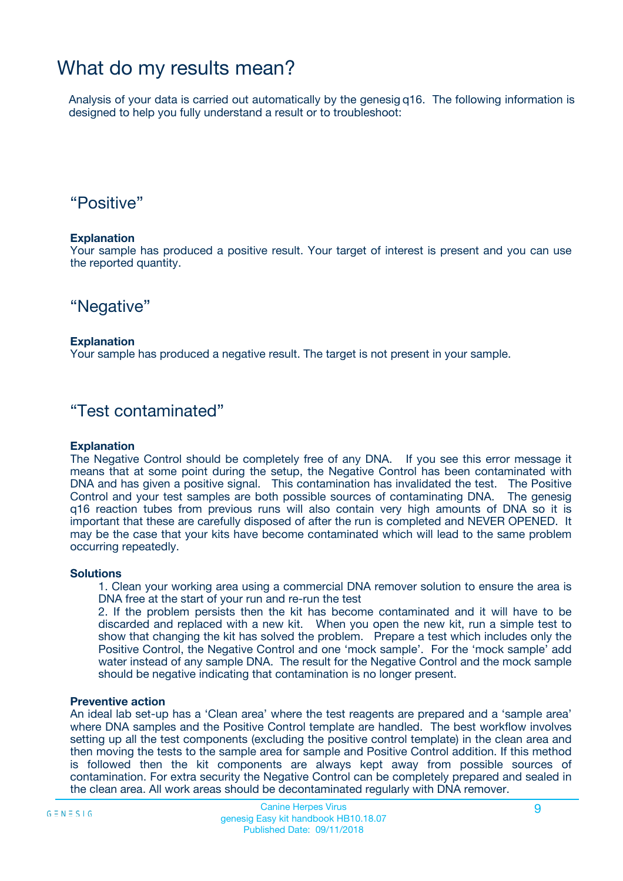### What do my results mean?

Analysis of your data is carried out automatically by the genesig q16. The following information is designed to help you fully understand a result or to troubleshoot:

### "Positive"

#### **Explanation**

Your sample has produced a positive result. Your target of interest is present and you can use the reported quantity.

"Negative"

#### **Explanation**

Your sample has produced a negative result. The target is not present in your sample.

### "Test contaminated"

#### **Explanation**

The Negative Control should be completely free of any DNA. If you see this error message it means that at some point during the setup, the Negative Control has been contaminated with DNA and has given a positive signal. This contamination has invalidated the test. The Positive Control and your test samples are both possible sources of contaminating DNA. The genesig q16 reaction tubes from previous runs will also contain very high amounts of DNA so it is important that these are carefully disposed of after the run is completed and NEVER OPENED. It may be the case that your kits have become contaminated which will lead to the same problem occurring repeatedly.

#### **Solutions**

1. Clean your working area using a commercial DNA remover solution to ensure the area is DNA free at the start of your run and re-run the test

2. If the problem persists then the kit has become contaminated and it will have to be discarded and replaced with a new kit. When you open the new kit, run a simple test to show that changing the kit has solved the problem. Prepare a test which includes only the Positive Control, the Negative Control and one 'mock sample'. For the 'mock sample' add water instead of any sample DNA. The result for the Negative Control and the mock sample should be negative indicating that contamination is no longer present.

#### **Preventive action**

An ideal lab set-up has a 'Clean area' where the test reagents are prepared and a 'sample area' where DNA samples and the Positive Control template are handled. The best workflow involves setting up all the test components (excluding the positive control template) in the clean area and then moving the tests to the sample area for sample and Positive Control addition. If this method is followed then the kit components are always kept away from possible sources of contamination. For extra security the Negative Control can be completely prepared and sealed in the clean area. All work areas should be decontaminated regularly with DNA remover.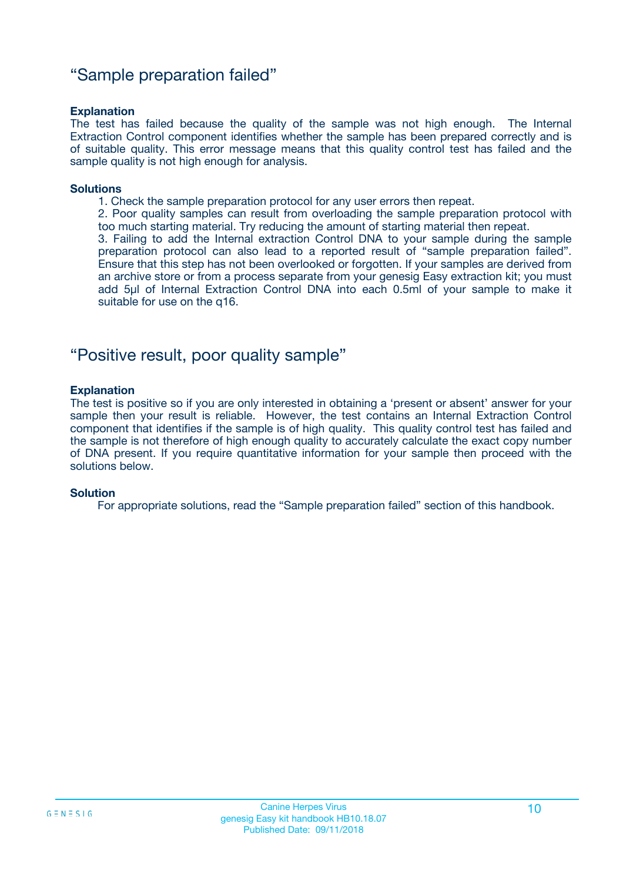### "Sample preparation failed"

#### **Explanation**

The test has failed because the quality of the sample was not high enough. The Internal Extraction Control component identifies whether the sample has been prepared correctly and is of suitable quality. This error message means that this quality control test has failed and the sample quality is not high enough for analysis.

#### **Solutions**

1. Check the sample preparation protocol for any user errors then repeat.

2. Poor quality samples can result from overloading the sample preparation protocol with too much starting material. Try reducing the amount of starting material then repeat.

3. Failing to add the Internal extraction Control DNA to your sample during the sample preparation protocol can also lead to a reported result of "sample preparation failed". Ensure that this step has not been overlooked or forgotten. If your samples are derived from an archive store or from a process separate from your genesig Easy extraction kit; you must add 5µl of Internal Extraction Control DNA into each 0.5ml of your sample to make it suitable for use on the q16.

### "Positive result, poor quality sample"

#### **Explanation**

The test is positive so if you are only interested in obtaining a 'present or absent' answer for your sample then your result is reliable. However, the test contains an Internal Extraction Control component that identifies if the sample is of high quality. This quality control test has failed and the sample is not therefore of high enough quality to accurately calculate the exact copy number of DNA present. If you require quantitative information for your sample then proceed with the solutions below.

#### **Solution**

For appropriate solutions, read the "Sample preparation failed" section of this handbook.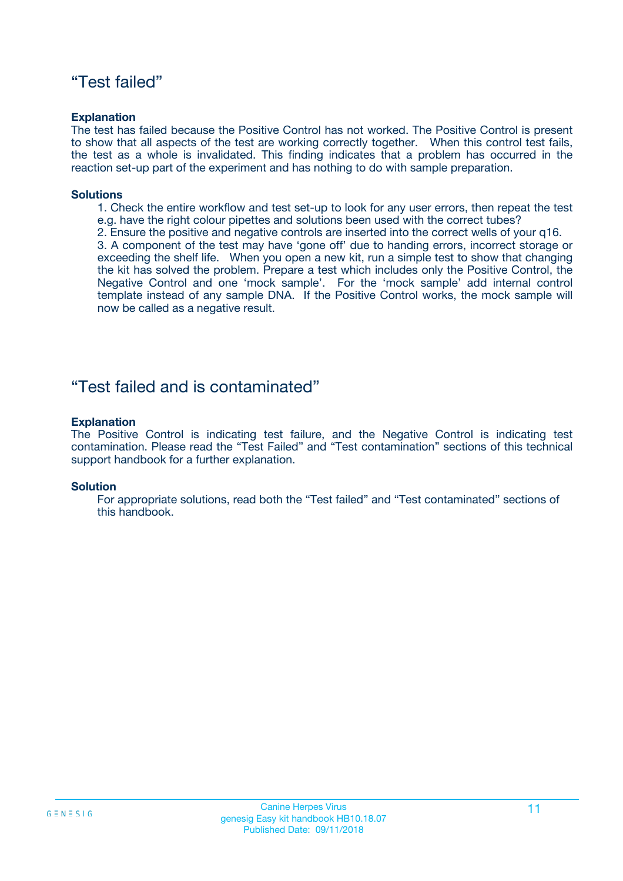### "Test failed"

#### **Explanation**

The test has failed because the Positive Control has not worked. The Positive Control is present to show that all aspects of the test are working correctly together. When this control test fails, the test as a whole is invalidated. This finding indicates that a problem has occurred in the reaction set-up part of the experiment and has nothing to do with sample preparation.

#### **Solutions**

- 1. Check the entire workflow and test set-up to look for any user errors, then repeat the test e.g. have the right colour pipettes and solutions been used with the correct tubes?
- 2. Ensure the positive and negative controls are inserted into the correct wells of your q16.

3. A component of the test may have 'gone off' due to handing errors, incorrect storage or exceeding the shelf life. When you open a new kit, run a simple test to show that changing the kit has solved the problem. Prepare a test which includes only the Positive Control, the Negative Control and one 'mock sample'. For the 'mock sample' add internal control template instead of any sample DNA. If the Positive Control works, the mock sample will now be called as a negative result.

### "Test failed and is contaminated"

#### **Explanation**

The Positive Control is indicating test failure, and the Negative Control is indicating test contamination. Please read the "Test Failed" and "Test contamination" sections of this technical support handbook for a further explanation.

#### **Solution**

For appropriate solutions, read both the "Test failed" and "Test contaminated" sections of this handbook.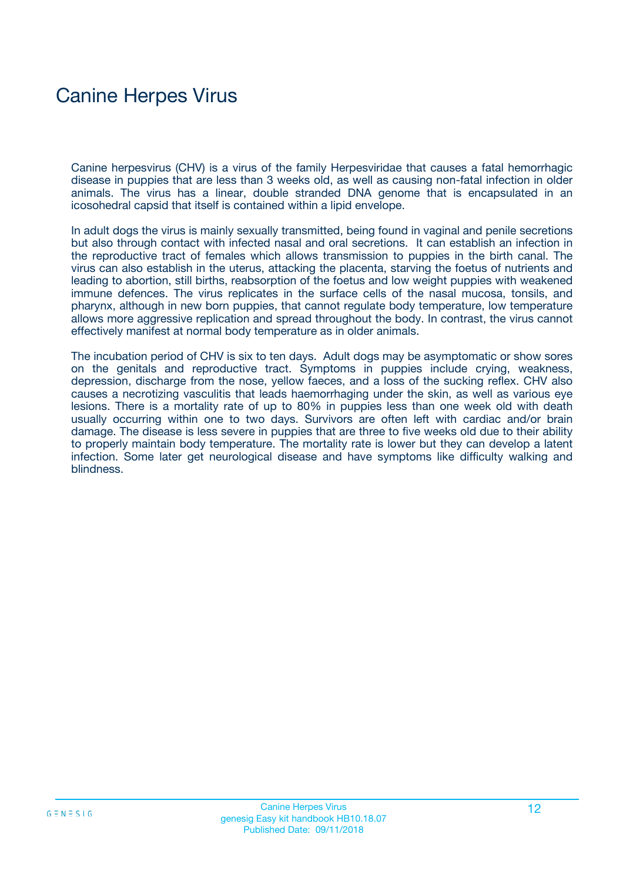## Canine Herpes Virus

Canine herpesvirus (CHV) is a virus of the family Herpesviridae that causes a fatal hemorrhagic disease in puppies that are less than 3 weeks old, as well as causing non-fatal infection in older animals. The virus has a linear, double stranded DNA genome that is encapsulated in an icosohedral capsid that itself is contained within a lipid envelope.

In adult dogs the virus is mainly sexually transmitted, being found in vaginal and penile secretions but also through contact with infected nasal and oral secretions. It can establish an infection in the reproductive tract of females which allows transmission to puppies in the birth canal. The virus can also establish in the uterus, attacking the placenta, starving the foetus of nutrients and leading to abortion, still births, reabsorption of the foetus and low weight puppies with weakened immune defences. The virus replicates in the surface cells of the nasal mucosa, tonsils, and pharynx, although in new born puppies, that cannot regulate body temperature, low temperature allows more aggressive replication and spread throughout the body. In contrast, the virus cannot effectively manifest at normal body temperature as in older animals.

The incubation period of CHV is six to ten days. Adult dogs may be asymptomatic or show sores on the genitals and reproductive tract. Symptoms in puppies include crying, weakness, depression, discharge from the nose, yellow faeces, and a loss of the sucking reflex. CHV also causes a necrotizing vasculitis that leads haemorrhaging under the skin, as well as various eye lesions. There is a mortality rate of up to 80% in puppies less than one week old with death usually occurring within one to two days. Survivors are often left with cardiac and/or brain damage. The disease is less severe in puppies that are three to five weeks old due to their ability to properly maintain body temperature. The mortality rate is lower but they can develop a latent infection. Some later get neurological disease and have symptoms like difficulty walking and blindness.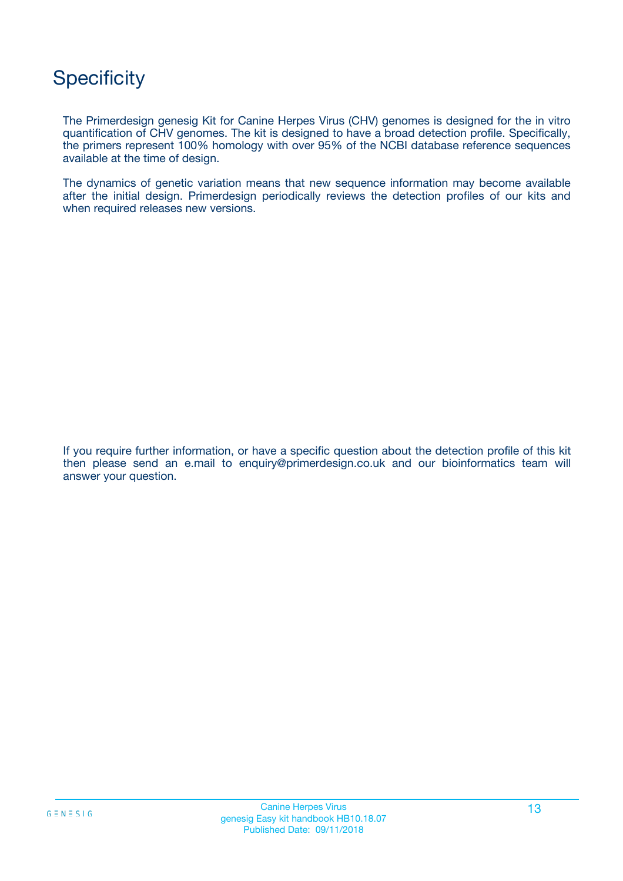## **Specificity**

The Primerdesign genesig Kit for Canine Herpes Virus (CHV) genomes is designed for the in vitro quantification of CHV genomes. The kit is designed to have a broad detection profile. Specifically, the primers represent 100% homology with over 95% of the NCBI database reference sequences available at the time of design.

The dynamics of genetic variation means that new sequence information may become available after the initial design. Primerdesign periodically reviews the detection profiles of our kits and when required releases new versions.

If you require further information, or have a specific question about the detection profile of this kit then please send an e.mail to enquiry@primerdesign.co.uk and our bioinformatics team will answer your question.